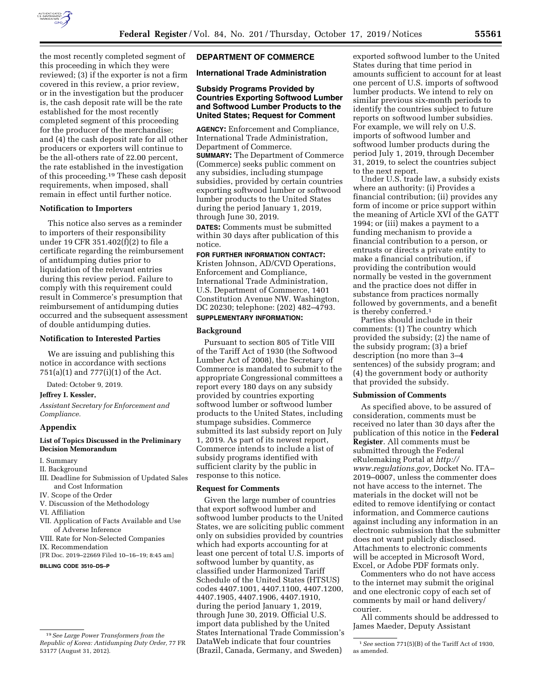

the most recently completed segment of this proceeding in which they were reviewed; (3) if the exporter is not a firm covered in this review, a prior review, or in the investigation but the producer is, the cash deposit rate will be the rate established for the most recently completed segment of this proceeding for the producer of the merchandise; and (4) the cash deposit rate for all other producers or exporters will continue to be the all-others rate of 22.00 percent, the rate established in the investigation of this proceeding.19 These cash deposit requirements, when imposed, shall remain in effect until further notice.

## **Notification to Importers**

This notice also serves as a reminder to importers of their responsibility under 19 CFR 351.402(f)(2) to file a certificate regarding the reimbursement of antidumping duties prior to liquidation of the relevant entries during this review period. Failure to comply with this requirement could result in Commerce's presumption that reimbursement of antidumping duties occurred and the subsequent assessment of double antidumping duties.

## **Notification to Interested Parties**

We are issuing and publishing this notice in accordance with sections 751(a)(1) and 777(i)(1) of the Act.

Dated: October 9, 2019.

## **Jeffrey I. Kessler,**

*Assistant Secretary for Enforcement and Compliance.* 

#### **Appendix**

## **List of Topics Discussed in the Preliminary Decision Memorandum**

- I. Summary
- II. Background
- III. Deadline for Submission of Updated Sales and Cost Information
- IV. Scope of the Order
- V. Discussion of the Methodology
- VI. Affiliation
- VII. Application of Facts Available and Use of Adverse Inference
- VIII. Rate for Non-Selected Companies
- IX. Recommendation
- [FR Doc. 2019–22669 Filed 10–16–19; 8:45 am]

**BILLING CODE 3510–DS–P** 

## **DEPARTMENT OF COMMERCE**

## **International Trade Administration**

## **Subsidy Programs Provided by Countries Exporting Softwood Lumber and Softwood Lumber Products to the United States; Request for Comment**

**AGENCY:** Enforcement and Compliance, International Trade Administration, Department of Commerce. **SUMMARY:** The Department of Commerce (Commerce) seeks public comment on any subsidies, including stumpage subsidies, provided by certain countries exporting softwood lumber or softwood lumber products to the United States during the period January 1, 2019, through June 30, 2019.

**DATES:** Comments must be submitted within 30 days after publication of this notice.

# **FOR FURTHER INFORMATION CONTACT:**

Kristen Johnson, AD/CVD Operations, Enforcement and Compliance, International Trade Administration, U.S. Department of Commerce, 1401 Constitution Avenue NW. Washington, DC 20230; telephone: (202) 482–4793. **SUPPLEMENTARY INFORMATION:** 

## **Background**

Pursuant to section 805 of Title VIII of the Tariff Act of 1930 (the Softwood Lumber Act of 2008), the Secretary of Commerce is mandated to submit to the appropriate Congressional committees a report every 180 days on any subsidy provided by countries exporting softwood lumber or softwood lumber products to the United States, including stumpage subsidies. Commerce submitted its last subsidy report on July 1, 2019. As part of its newest report, Commerce intends to include a list of subsidy programs identified with sufficient clarity by the public in response to this notice.

#### **Request for Comments**

Given the large number of countries that export softwood lumber and softwood lumber products to the United States, we are soliciting public comment only on subsidies provided by countries which had exports accounting for at least one percent of total U.S. imports of softwood lumber by quantity, as classified under Harmonized Tariff Schedule of the United States (HTSUS) codes 4407.1001, 4407.1100, 4407.1200, 4407.1905, 4407.1906, 4407.1910, during the period January 1, 2019, through June 30, 2019. Official U.S. import data published by the United States International Trade Commission's DataWeb indicate that four countries (Brazil, Canada, Germany, and Sweden)

exported softwood lumber to the United States during that time period in amounts sufficient to account for at least one percent of U.S. imports of softwood lumber products. We intend to rely on similar previous six-month periods to identify the countries subject to future reports on softwood lumber subsidies. For example, we will rely on U.S. imports of softwood lumber and softwood lumber products during the period July 1, 2019, through December 31, 2019, to select the countries subject to the next report.

Under U.S. trade law, a subsidy exists where an authority: (i) Provides a financial contribution; (ii) provides any form of income or price support within the meaning of Article XVI of the GATT 1994; or (iii) makes a payment to a funding mechanism to provide a financial contribution to a person, or entrusts or directs a private entity to make a financial contribution, if providing the contribution would normally be vested in the government and the practice does not differ in substance from practices normally followed by governments, and a benefit is thereby conferred.1

Parties should include in their comments: (1) The country which provided the subsidy; (2) the name of the subsidy program; (3) a brief description (no more than 3–4 sentences) of the subsidy program; and (4) the government body or authority that provided the subsidy.

#### **Submission of Comments**

As specified above, to be assured of consideration, comments must be received no later than 30 days after the publication of this notice in the **Federal Register**. All comments must be submitted through the Federal eRulemaking Portal at *[http://](http://www.regulations.gov) [www.regulations.gov,](http://www.regulations.gov)* Docket No. ITA– 2019–0007, unless the commenter does not have access to the internet. The materials in the docket will not be edited to remove identifying or contact information, and Commerce cautions against including any information in an electronic submission that the submitter does not want publicly disclosed. Attachments to electronic comments will be accepted in Microsoft Word, Excel, or Adobe PDF formats only.

Commenters who do not have access to the internet may submit the original and one electronic copy of each set of comments by mail or hand delivery/ courier.

All comments should be addressed to James Maeder, Deputy Assistant

<sup>19</sup>*See Large Power Transformers from the Republic of Korea: Antidumping Duty Order,* 77 FR 53177 (August 31, 2012).